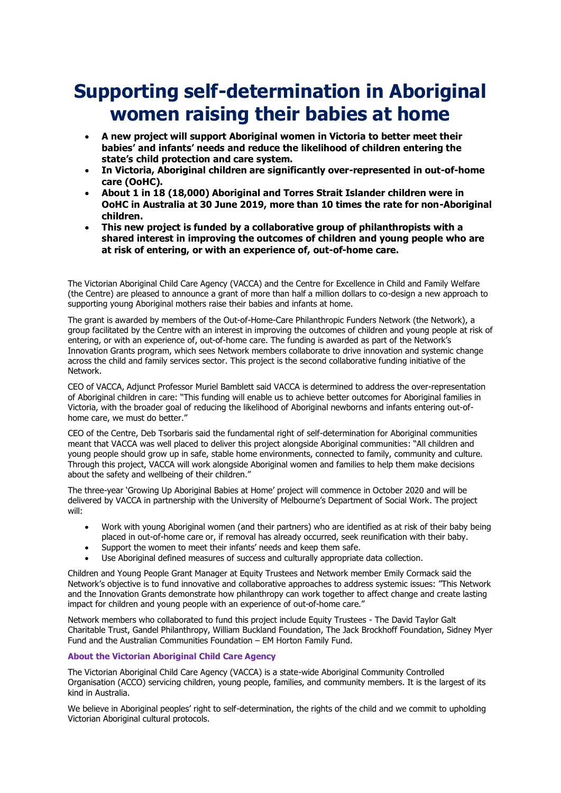## **Supporting self-determination in Aboriginal women raising their babies at home**

- **A new project will support Aboriginal women in Victoria to better meet their babies' and infants' needs and reduce the likelihood of children entering the state's child protection and care system.**
- **In Victoria, Aboriginal children are significantly over-represented in out-of-home care (OoHC).**
- **About 1 in 18 (18,000) Aboriginal and Torres Strait Islander children were in OoHC in Australia at 30 June 2019, more than 10 times the rate for non-Aboriginal children.**
- **This new project is funded by a collaborative group of philanthropists with a shared interest in improving the outcomes of children and young people who are at risk of entering, or with an experience of, out-of-home care.**

The Victorian Aboriginal Child Care Agency (VACCA) and the Centre for Excellence in Child and Family Welfare (the Centre) are pleased to announce a grant of more than half a million dollars to co-design a new approach to supporting young Aboriginal mothers raise their babies and infants at home.

The grant is awarded by members of the Out-of-Home-Care Philanthropic Funders Network (the Network), a group facilitated by the Centre with an interest in improving the outcomes of children and young people at risk of entering, or with an experience of, out-of-home care. The funding is awarded as part of the Network's Innovation Grants program, which sees Network members collaborate to drive innovation and systemic change across the child and family services sector. This project is the second collaborative funding initiative of the Network.

CEO of VACCA, Adjunct Professor Muriel Bamblett said VACCA is determined to address the over-representation of Aboriginal children in care: "This funding will enable us to achieve better outcomes for Aboriginal families in Victoria, with the broader goal of reducing the likelihood of Aboriginal newborns and infants entering out-ofhome care, we must do better."

CEO of the Centre, Deb Tsorbaris said the fundamental right of self-determination for Aboriginal communities meant that VACCA was well placed to deliver this project alongside Aboriginal communities: "All children and young people should grow up in safe, stable home environments, connected to family, community and culture. Through this project, VACCA will work alongside Aboriginal women and families to help them make decisions about the safety and wellbeing of their children."

The three-year 'Growing Up Aboriginal Babies at Home' project will commence in October 2020 and will be delivered by VACCA in partnership with the University of Melbourne's Department of Social Work. The project will:

- Work with young Aboriginal women (and their partners) who are identified as at risk of their baby being placed in out-of-home care or, if removal has already occurred, seek reunification with their baby.
- Support the women to meet their infants' needs and keep them safe.
- Use Aboriginal defined measures of success and culturally appropriate data collection.

Children and Young People Grant Manager at Equity Trustees and Network member Emily Cormack said the Network's objective is to fund innovative and collaborative approaches to address systemic issues: "This Network and the Innovation Grants demonstrate how philanthropy can work together to affect change and create lasting impact for children and young people with an experience of out-of-home care."

Network members who collaborated to fund this project include Equity Trustees - The David Taylor Galt Charitable Trust, Gandel Philanthropy, William Buckland Foundation, The Jack Brockhoff Foundation, Sidney Myer Fund and the Australian Communities Foundation – EM Horton Family Fund.

## **About the Victorian Aboriginal Child Care Agency**

The Victorian Aboriginal Child Care Agency (VACCA) is a state-wide Aboriginal Community Controlled Organisation (ACCO) servicing children, young people, families, and community members. It is the largest of its kind in Australia.

We believe in Aboriginal peoples' right to self-determination, the rights of the child and we commit to upholding Victorian Aboriginal cultural protocols.